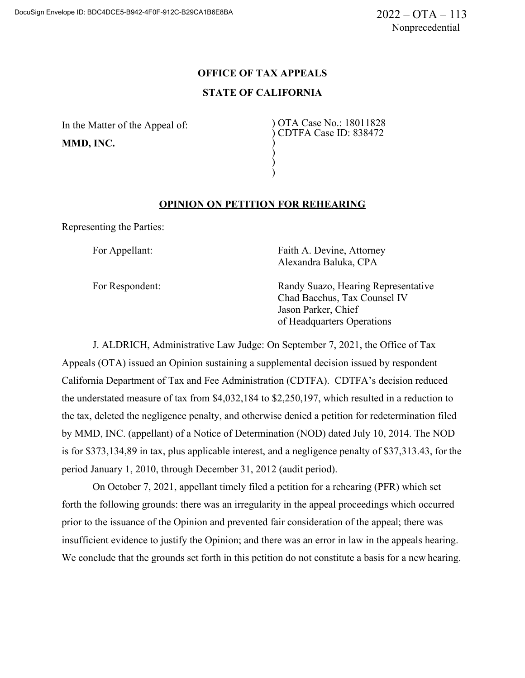# **OFFICE OF TAX APPEALS STATE OF CALIFORNIA**

) ) ) )

In the Matter of the Appeal of: **MMD, INC.**

) OTA Case No.: 18011828 ) CDTFA Case ID: 838472

## **OPINION ON PETITION FOR REHEARING**

Representing the Parties:

For Appellant: For Appellant: Faith A. Devine, Attorney Alexandra Baluka, CPA

For Respondent: Randy Suazo, Hearing Representative Chad Bacchus, Tax Counsel IV Jason Parker, Chief of Headquarters Operations

J. ALDRICH, Administrative Law Judge: On September 7, 2021, the Office of Tax Appeals (OTA) issued an Opinion sustaining a supplemental decision issued by respondent California Department of Tax and Fee Administration (CDTFA). CDTFA's decision reduced the understated measure of tax from \$4,032,184 to \$2,250,197, which resulted in a reduction to the tax, deleted the negligence penalty, and otherwise denied a petition for redetermination filed by MMD, INC. (appellant) of a Notice of Determination (NOD) dated July 10, 2014. The NOD is for \$373,134,89 in tax, plus applicable interest, and a negligence penalty of \$37,313.43, for the period January 1, 2010, through December 31, 2012 (audit period).

On October 7, 2021, appellant timely filed a petition for a rehearing (PFR) which set forth the following grounds: there was an irregularity in the appeal proceedings which occurred prior to the issuance of the Opinion and prevented fair consideration of the appeal; there was insufficient evidence to justify the Opinion; and there was an error in law in the appeals hearing. We conclude that the grounds set forth in this petition do not constitute a basis for a new hearing.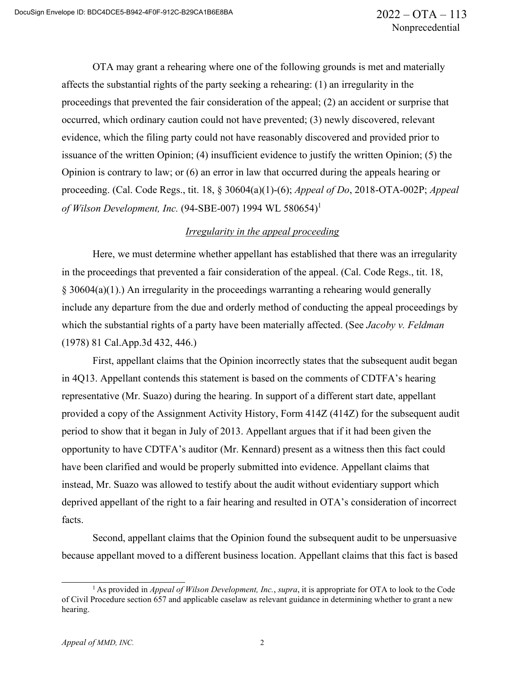OTA may grant a rehearing where one of the following grounds is met and materially affects the substantial rights of the party seeking a rehearing: (1) an irregularity in the proceedings that prevented the fair consideration of the appeal; (2) an accident or surprise that occurred, which ordinary caution could not have prevented; (3) newly discovered, relevant evidence, which the filing party could not have reasonably discovered and provided prior to issuance of the written Opinion; (4) insufficient evidence to justify the written Opinion; (5) the Opinion is contrary to law; or (6) an error in law that occurred during the appeals hearing or proceeding. (Cal. Code Regs., tit. 18, § 30604(a)(1)-(6); *Appeal of Do*, 2018-OTA-002P; *Appeal of Wilson Development, Inc.* (94-SBE-007) 1994 WL 580654)<sup>1</sup>

### *Irregularity in the appeal proceeding*

Here, we must determine whether appellant has established that there was an irregularity in the proceedings that prevented a fair consideration of the appeal. (Cal. Code Regs., tit. 18, § 30604(a)(1).) An irregularity in the proceedings warranting a rehearing would generally include any departure from the due and orderly method of conducting the appeal proceedings by which the substantial rights of a party have been materially affected. (See *Jacoby v. Feldman*  (1978) 81 Cal.App.3d 432, 446.)

First, appellant claims that the Opinion incorrectly states that the subsequent audit began in 4Q13. Appellant contends this statement is based on the comments of CDTFA's hearing representative (Mr. Suazo) during the hearing. In support of a different start date, appellant provided a copy of the Assignment Activity History, Form 414Z (414Z) for the subsequent audit period to show that it began in July of 2013. Appellant argues that if it had been given the opportunity to have CDTFA's auditor (Mr. Kennard) present as a witness then this fact could have been clarified and would be properly submitted into evidence. Appellant claims that instead, Mr. Suazo was allowed to testify about the audit without evidentiary support which deprived appellant of the right to a fair hearing and resulted in OTA's consideration of incorrect facts.

Second, appellant claims that the Opinion found the subsequent audit to be unpersuasive because appellant moved to a different business location. Appellant claims that this fact is based

<sup>1</sup> As provided in *Appeal of Wilson Development, Inc.*, *supra*, it is appropriate for OTA to look to the Code of Civil Procedure section 657 and applicable caselaw as relevant guidance in determining whether to grant a new hearing.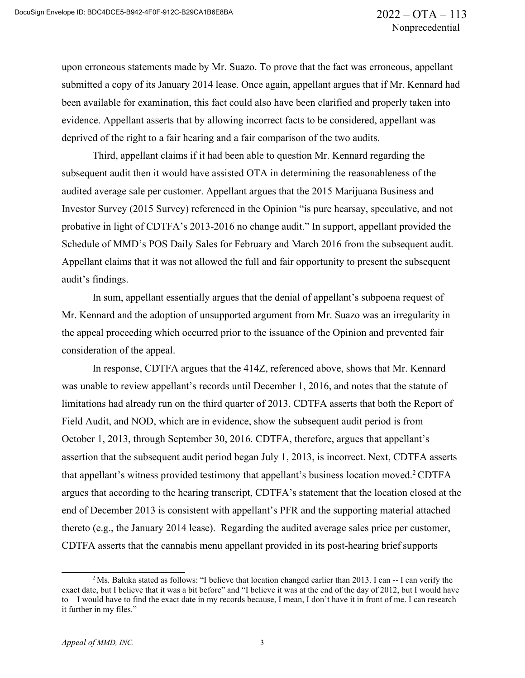upon erroneous statements made by Mr. Suazo. To prove that the fact was erroneous, appellant submitted a copy of its January 2014 lease. Once again, appellant argues that if Mr. Kennard had been available for examination, this fact could also have been clarified and properly taken into evidence. Appellant asserts that by allowing incorrect facts to be considered, appellant was deprived of the right to a fair hearing and a fair comparison of the two audits.

Third, appellant claims if it had been able to question Mr. Kennard regarding the subsequent audit then it would have assisted OTA in determining the reasonableness of the audited average sale per customer. Appellant argues that the 2015 Marijuana Business and Investor Survey (2015 Survey) referenced in the Opinion "is pure hearsay, speculative, and not probative in light of CDTFA's 2013-2016 no change audit." In support, appellant provided the Schedule of MMD's POS Daily Sales for February and March 2016 from the subsequent audit. Appellant claims that it was not allowed the full and fair opportunity to present the subsequent audit's findings.

In sum, appellant essentially argues that the denial of appellant's subpoena request of Mr. Kennard and the adoption of unsupported argument from Mr. Suazo was an irregularity in the appeal proceeding which occurred prior to the issuance of the Opinion and prevented fair consideration of the appeal.

In response, CDTFA argues that the 414Z, referenced above, shows that Mr. Kennard was unable to review appellant's records until December 1, 2016, and notes that the statute of limitations had already run on the third quarter of 2013. CDTFA asserts that both the Report of Field Audit, and NOD, which are in evidence, show the subsequent audit period is from October 1, 2013, through September 30, 2016. CDTFA, therefore, argues that appellant's assertion that the subsequent audit period began July 1, 2013, is incorrect. Next, CDTFA asserts that appellant's witness provided testimony that appellant's business location moved.<sup>2</sup> CDTFA argues that according to the hearing transcript, CDTFA's statement that the location closed at the end of December 2013 is consistent with appellant's PFR and the supporting material attached thereto (e.g., the January 2014 lease). Regarding the audited average sales price per customer, CDTFA asserts that the cannabis menu appellant provided in its post-hearing brief supports

<sup>&</sup>lt;sup>2</sup>Ms. Baluka stated as follows: "I believe that location changed earlier than 2013. I can -- I can verify the exact date, but I believe that it was a bit before" and "I believe it was at the end of the day of 2012, but I would have to – I would have to find the exact date in my records because, I mean, I don't have it in front of me. I can research it further in my files."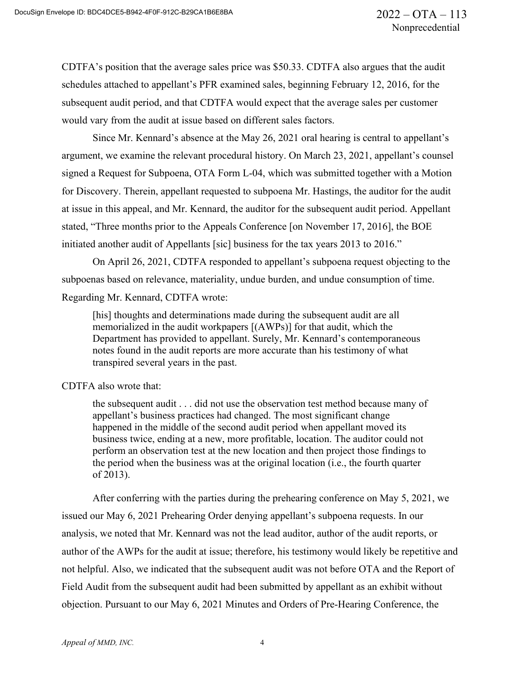CDTFA's position that the average sales price was \$50.33. CDTFA also argues that the audit schedules attached to appellant's PFR examined sales, beginning February 12, 2016, for the subsequent audit period, and that CDTFA would expect that the average sales per customer would vary from the audit at issue based on different sales factors.

Since Mr. Kennard's absence at the May 26, 2021 oral hearing is central to appellant's argument, we examine the relevant procedural history. On March 23, 2021, appellant's counsel signed a Request for Subpoena, OTA Form L-04, which was submitted together with a Motion for Discovery. Therein, appellant requested to subpoena Mr. Hastings, the auditor for the audit at issue in this appeal, and Mr. Kennard, the auditor for the subsequent audit period. Appellant stated, "Three months prior to the Appeals Conference [on November 17, 2016], the BOE initiated another audit of Appellants [sic] business for the tax years 2013 to 2016."

On April 26, 2021, CDTFA responded to appellant's subpoena request objecting to the subpoenas based on relevance, materiality, undue burden, and undue consumption of time. Regarding Mr. Kennard, CDTFA wrote:

[his] thoughts and determinations made during the subsequent audit are all memorialized in the audit workpapers [(AWPs)] for that audit, which the Department has provided to appellant. Surely, Mr. Kennard's contemporaneous notes found in the audit reports are more accurate than his testimony of what transpired several years in the past.

#### CDTFA also wrote that:

the subsequent audit . . . did not use the observation test method because many of appellant's business practices had changed. The most significant change happened in the middle of the second audit period when appellant moved its business twice, ending at a new, more profitable, location. The auditor could not perform an observation test at the new location and then project those findings to the period when the business was at the original location (i.e., the fourth quarter of 2013).

After conferring with the parties during the prehearing conference on May 5, 2021, we issued our May 6, 2021 Prehearing Order denying appellant's subpoena requests. In our analysis, we noted that Mr. Kennard was not the lead auditor, author of the audit reports, or author of the AWPs for the audit at issue; therefore, his testimony would likely be repetitive and not helpful. Also, we indicated that the subsequent audit was not before OTA and the Report of Field Audit from the subsequent audit had been submitted by appellant as an exhibit without objection. Pursuant to our May 6, 2021 Minutes and Orders of Pre-Hearing Conference, the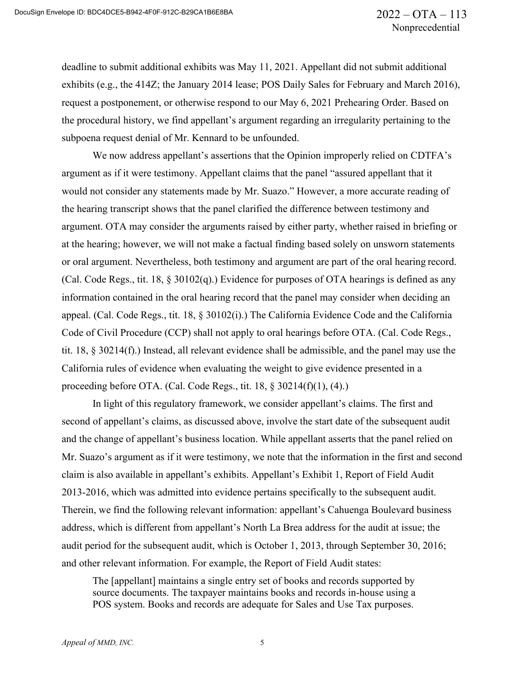deadline to submit additional exhibits was May 11, 2021. Appellant did not submit additional exhibits (e.g., the 414Z; the January 2014 lease; POS Daily Sales for February and March 2016), request a postponement, or otherwise respond to our May 6, 2021 Prehearing Order. Based on the procedural history, we find appellant's argument regarding an irregularity pertaining to the subpoena request denial of Mr. Kennard to be unfounded.

We now address appellant's assertions that the Opinion improperly relied on CDTFA's argument as if it were testimony. Appellant claims that the panel "assured appellant that it would not consider any statements made by Mr. Suazo." However, a more accurate reading of the hearing transcript shows that the panel clarified the difference between testimony and argument. OTA may consider the arguments raised by either party, whether raised in briefing or at the hearing; however, we will not make a factual finding based solely on unsworn statements or oral argument. Nevertheless, both testimony and argument are part of the oral hearing record. (Cal. Code Regs., tit. 18, § 30102(q).) Evidence for purposes of OTA hearings is defined as any information contained in the oral hearing record that the panel may consider when deciding an appeal. (Cal. Code Regs., tit. 18, § 30102(i).) The California Evidence Code and the California Code of Civil Procedure (CCP) shall not apply to oral hearings before OTA. (Cal. Code Regs., tit. 18, § 30214(f).) Instead, all relevant evidence shall be admissible, and the panel may use the California rules of evidence when evaluating the weight to give evidence presented in a proceeding before OTA. (Cal. Code Regs., tit. 18, § 30214(f)(1), (4).)

In light of this regulatory framework, we consider appellant's claims. The first and second of appellant's claims, as discussed above, involve the start date of the subsequent audit and the change of appellant's business location. While appellant asserts that the panel relied on Mr. Suazo's argument as if it were testimony, we note that the information in the first and second claim is also available in appellant's exhibits. Appellant's Exhibit 1, Report of Field Audit 2013-2016, which was admitted into evidence pertains specifically to the subsequent audit. Therein, we find the following relevant information: appellant's Cahuenga Boulevard business address, which is different from appellant's North La Brea address for the audit at issue; the audit period for the subsequent audit, which is October 1, 2013, through September 30, 2016; and other relevant information. For example, the Report of Field Audit states:

The [appellant] maintains a single entry set of books and records supported by source documents. The taxpayer maintains books and records in-house using a POS system. Books and records are adequate for Sales and Use Tax purposes.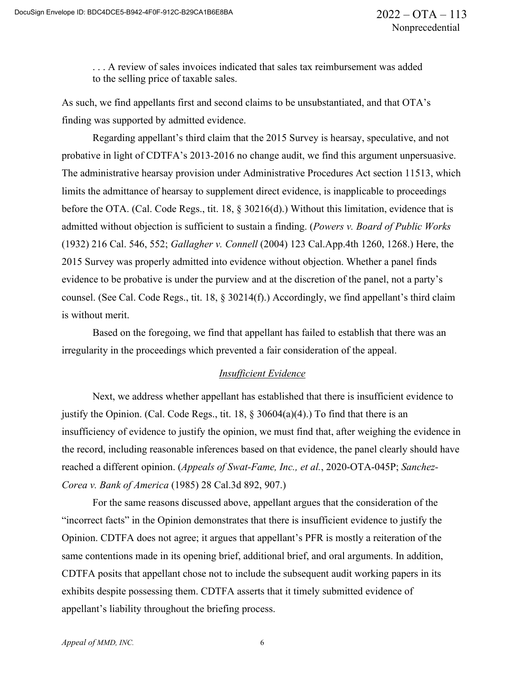. . . A review of sales invoices indicated that sales tax reimbursement was added to the selling price of taxable sales.

As such, we find appellants first and second claims to be unsubstantiated, and that OTA's finding was supported by admitted evidence.

Regarding appellant's third claim that the 2015 Survey is hearsay, speculative, and not probative in light of CDTFA's 2013-2016 no change audit, we find this argument unpersuasive. The administrative hearsay provision under Administrative Procedures Act section 11513, which limits the admittance of hearsay to supplement direct evidence, is inapplicable to proceedings before the OTA. (Cal. Code Regs., tit. 18, § 30216(d).) Without this limitation, evidence that is admitted without objection is sufficient to sustain a finding. (*Powers v. Board of Public Works*  (1932) 216 Cal. 546, 552; *Gallagher v. Connell* (2004) 123 Cal.App.4th 1260, 1268.) Here, the 2015 Survey was properly admitted into evidence without objection. Whether a panel finds evidence to be probative is under the purview and at the discretion of the panel, not a party's counsel. (See Cal. Code Regs., tit. 18, § 30214(f).) Accordingly, we find appellant's third claim is without merit.

Based on the foregoing, we find that appellant has failed to establish that there was an irregularity in the proceedings which prevented a fair consideration of the appeal.

#### *Insufficient Evidence*

Next, we address whether appellant has established that there is insufficient evidence to justify the Opinion. (Cal. Code Regs., tit.  $18$ ,  $\S$  30604(a)(4).) To find that there is an insufficiency of evidence to justify the opinion, we must find that, after weighing the evidence in the record, including reasonable inferences based on that evidence, the panel clearly should have reached a different opinion. (*Appeals of Swat-Fame, Inc., et al.*, 2020-OTA-045P; *Sanchez-Corea v. Bank of America* (1985) 28 Cal.3d 892, 907.)

For the same reasons discussed above, appellant argues that the consideration of the "incorrect facts" in the Opinion demonstrates that there is insufficient evidence to justify the Opinion. CDTFA does not agree; it argues that appellant's PFR is mostly a reiteration of the same contentions made in its opening brief, additional brief, and oral arguments. In addition, CDTFA posits that appellant chose not to include the subsequent audit working papers in its exhibits despite possessing them. CDTFA asserts that it timely submitted evidence of appellant's liability throughout the briefing process.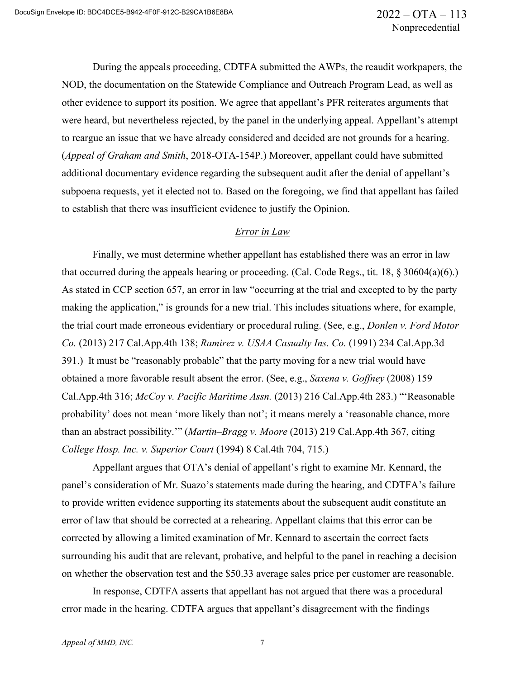During the appeals proceeding, CDTFA submitted the AWPs, the reaudit workpapers, the NOD, the documentation on the Statewide Compliance and Outreach Program Lead, as well as other evidence to support its position. We agree that appellant's PFR reiterates arguments that were heard, but nevertheless rejected, by the panel in the underlying appeal. Appellant's attempt to reargue an issue that we have already considered and decided are not grounds for a hearing. (*Appeal of Graham and Smith*, 2018-OTA-154P.) Moreover, appellant could have submitted additional documentary evidence regarding the subsequent audit after the denial of appellant's subpoena requests, yet it elected not to. Based on the foregoing, we find that appellant has failed to establish that there was insufficient evidence to justify the Opinion.

#### *Error in Law*

Finally, we must determine whether appellant has established there was an error in law that occurred during the appeals hearing or proceeding. (Cal. Code Regs., tit. 18, § 30604(a)(6).) As stated in CCP section 657, an error in law "occurring at the trial and excepted to by the party making the application," is grounds for a new trial. This includes situations where, for example, the trial court made erroneous evidentiary or procedural ruling. (See, e.g., *Donlen v. Ford Motor Co.* (2013) 217 Cal.App.4th 138; *Ramirez v. USAA Casualty Ins. Co.* (1991) 234 Cal.App.3d 391.) It must be "reasonably probable" that the party moving for a new trial would have obtained a more favorable result absent the error. (See, e.g., *Saxena v. Goffney* (2008) 159 Cal.App.4th 316; *McCoy v. Pacific Maritime Assn.* (2013) 216 Cal.App.4th 283.) "'Reasonable probability' does not mean 'more likely than not'; it means merely a 'reasonable chance, more than an abstract possibility.'" (*Martin–Bragg v. Moore* (2013) 219 Cal.App.4th 367, citing *College Hosp. Inc. v. Superior Court* (1994) 8 Cal.4th 704, 715.)

Appellant argues that OTA's denial of appellant's right to examine Mr. Kennard, the panel's consideration of Mr. Suazo's statements made during the hearing, and CDTFA's failure to provide written evidence supporting its statements about the subsequent audit constitute an error of law that should be corrected at a rehearing. Appellant claims that this error can be corrected by allowing a limited examination of Mr. Kennard to ascertain the correct facts surrounding his audit that are relevant, probative, and helpful to the panel in reaching a decision on whether the observation test and the \$50.33 average sales price per customer are reasonable.

In response, CDTFA asserts that appellant has not argued that there was a procedural error made in the hearing. CDTFA argues that appellant's disagreement with the findings